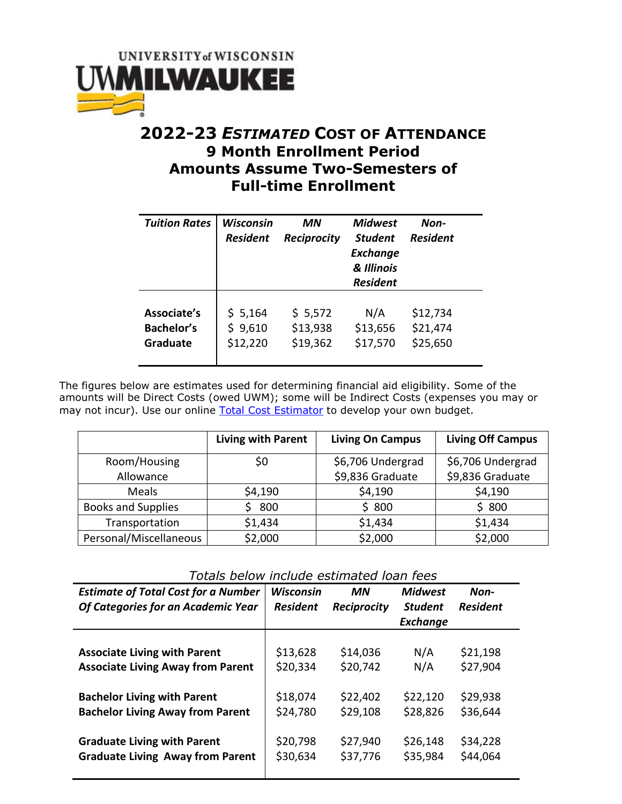

## **2022-23** *ESTIMATED* **COST OF ATTENDANCE 9 Month Enrollment Period Amounts Assume Two-Semesters of Full-time Enrollment**

| <b>Tuition Rates</b> | Wisconsin<br><b>Resident</b> | ΜN<br><b>Reciprocity</b> | <b>Midwest</b><br><b>Student</b><br><b>Exchange</b><br>& Illinois<br><b>Resident</b> | Non-<br><b>Resident</b> |
|----------------------|------------------------------|--------------------------|--------------------------------------------------------------------------------------|-------------------------|
| Associate's          | \$5,164                      | \$5,572                  | N/A                                                                                  | \$12,734                |
| <b>Bachelor's</b>    | \$9,610                      | \$13,938                 | \$13,656                                                                             | \$21,474                |
| <b>Graduate</b>      | \$12,220                     | \$19,362                 | \$17,570                                                                             | \$25,650                |

The figures below are estimates used for determining financial aid eligibility. Some of the amounts will be Direct Costs (owed UWM); some will be Indirect Costs (expenses you may or may not incur). Use our online [Total Cost Estimator](https://uwm.edu/onestop/finances/estimating-your-costs/uwm-total-cost-estimator/) to develop your own budget.

|                           | <b>Living with Parent</b> | <b>Living On Campus</b> | <b>Living Off Campus</b> |
|---------------------------|---------------------------|-------------------------|--------------------------|
| Room/Housing              | Ş0                        | \$6,706 Undergrad       | \$6,706 Undergrad        |
| Allowance                 |                           | \$9,836 Graduate        | \$9,836 Graduate         |
| <b>Meals</b>              | \$4,190                   | \$4,190                 | \$4,190                  |
| <b>Books and Supplies</b> | 800                       | \$800                   | \$800                    |
| Transportation            | \$1,434                   | \$1,434                 | \$1,434                  |
| Personal/Miscellaneous    | \$2,000                   | \$2,000                 | \$2,000                  |

*Totals below include estimated loan fees*

| <b>Estimate of Total Cost for a Number</b><br>Of Categories for an Academic Year | <b>Wisconsin</b><br><b>Resident</b> | <b>MN</b><br><b>Reciprocity</b> | <b>Midwest</b><br><b>Student</b><br><b>Exchange</b> | Non-<br><b>Resident</b> |
|----------------------------------------------------------------------------------|-------------------------------------|---------------------------------|-----------------------------------------------------|-------------------------|
|                                                                                  |                                     |                                 |                                                     |                         |
| <b>Associate Living with Parent</b>                                              | \$13,628                            | \$14,036                        | N/A                                                 | \$21,198                |
| <b>Associate Living Away from Parent</b>                                         | \$20,334                            | \$20,742                        | N/A                                                 | \$27,904                |
| <b>Bachelor Living with Parent</b>                                               | \$18,074                            | \$22,402                        | \$22,120                                            | \$29,938                |
| <b>Bachelor Living Away from Parent</b>                                          | \$24,780                            | \$29,108                        | \$28,826                                            | \$36,644                |
| <b>Graduate Living with Parent</b>                                               | \$20,798                            | \$27,940                        | \$26,148                                            | \$34,228                |
| <b>Graduate Living Away from Parent</b>                                          | \$30,634                            | \$37,776                        | \$35,984                                            | \$44,064                |